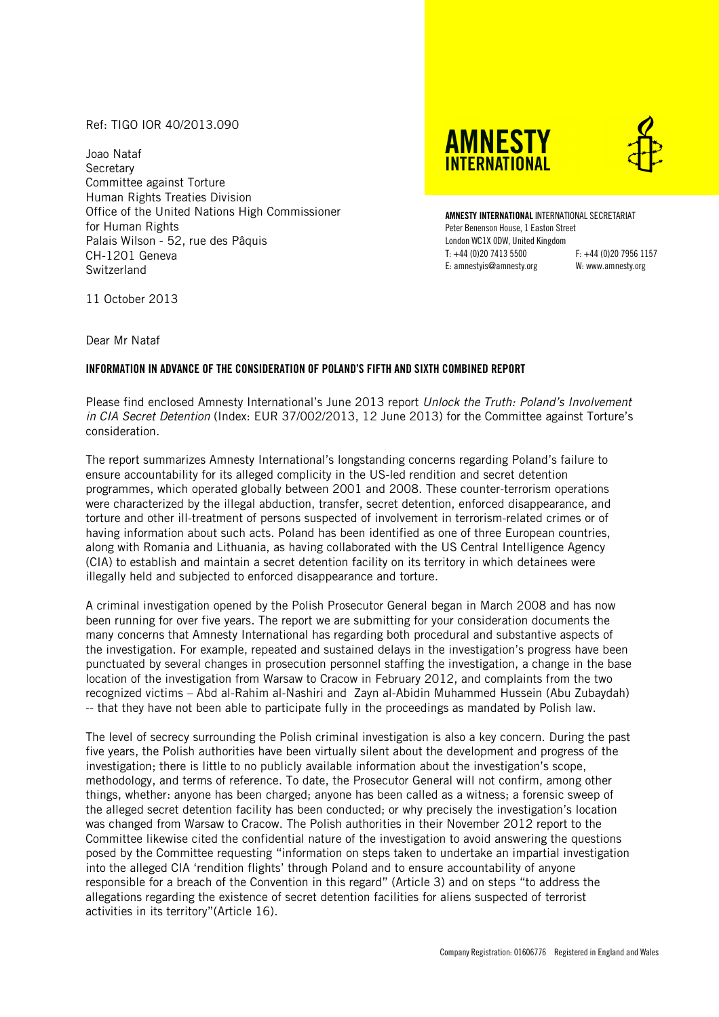## Ref: TIGO IOR 40/2013.090

Joao Nataf **Secretary** Committee against Torture Human Rights Treaties Division Office of the United Nations High Commissioner for Human Rights Palais Wilson - 52, rue des Pâquis CH-1201 Geneva **Switzerland** 

**AMNESTY INTFRNATIONAL** 



**AMNESTY INTERNATIONAL** INTERNATIONAL SECRETARIAT Peter Benenson House, 1 Easton Street London WC1X 0DW, United Kingdom T: +44 (0)20 7413 5500 F: +44 (0)20 7956 1157 E: amnestyis@amnesty.org W: www.amnesty.org

11 October 2013

Dear Mr Nataf

## **INFORMATION IN ADVANCE OF THE CONSIDERATION OF POLAND'S FIFTH AND SIXTH COMBINED REPORT**

Please find enclosed Amnesty International's June 2013 report *Unlock the Truth: Poland's Involvement in CIA Secret Detention* (Index: EUR 37/002/2013, 12 June 2013) for the Committee against Torture's consideration.

The report summarizes Amnesty International's longstanding concerns regarding Poland's failure to ensure accountability for its alleged complicity in the US-led rendition and secret detention programmes, which operated globally between 2001 and 2008. These counter-terrorism operations were characterized by the illegal abduction, transfer, secret detention, enforced disappearance, and torture and other ill-treatment of persons suspected of involvement in terrorism-related crimes or of having information about such acts. Poland has been identified as one of three European countries, along with Romania and Lithuania, as having collaborated with the US Central Intelligence Agency (CIA) to establish and maintain a secret detention facility on its territory in which detainees were illegally held and subjected to enforced disappearance and torture.

A criminal investigation opened by the Polish Prosecutor General began in March 2008 and has now been running for over five years. The report we are submitting for your consideration documents the many concerns that Amnesty International has regarding both procedural and substantive aspects of the investigation. For example, repeated and sustained delays in the investigation's progress have been punctuated by several changes in prosecution personnel staffing the investigation, a change in the base location of the investigation from Warsaw to Cracow in February 2012, and complaints from the two recognized victims – Abd al-Rahim al-Nashiri and Zayn al-Abidin Muhammed Hussein (Abu Zubaydah) -- that they have not been able to participate fully in the proceedings as mandated by Polish law.

The level of secrecy surrounding the Polish criminal investigation is also a key concern. During the past five years, the Polish authorities have been virtually silent about the development and progress of the investigation; there is little to no publicly available information about the investigation's scope, methodology, and terms of reference. To date, the Prosecutor General will not confirm, among other things, whether: anyone has been charged; anyone has been called as a witness; a forensic sweep of the alleged secret detention facility has been conducted; or why precisely the investigation's location was changed from Warsaw to Cracow. The Polish authorities in their November 2012 report to the Committee likewise cited the confidential nature of the investigation to avoid answering the questions posed by the Committee requesting "information on steps taken to undertake an impartial investigation into the alleged CIA 'rendition flights' through Poland and to ensure accountability of anyone responsible for a breach of the Convention in this regard" (Article 3) and on steps "to address the allegations regarding the existence of secret detention facilities for aliens suspected of terrorist activities in its territory"(Article 16).